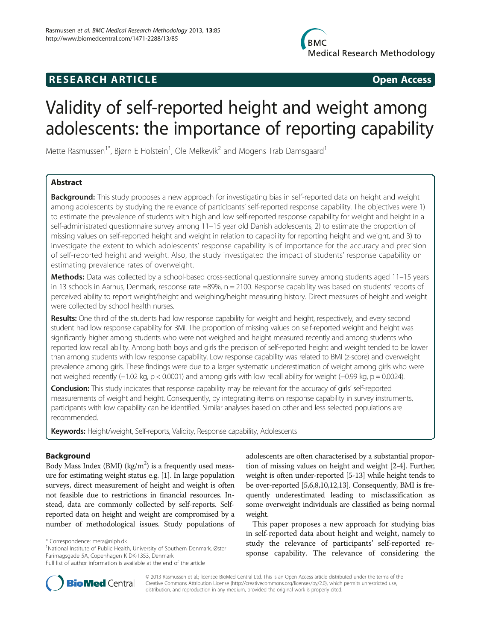# **RESEARCH ARTICLE Example 2014 CONSIDERING CONSIDERING CONSIDERING CONSIDERING CONSIDERING CONSIDERING CONSIDERING CONSIDERING CONSIDERING CONSIDERING CONSIDERING CONSIDERING CONSIDERING CONSIDERING CONSIDERING CONSIDE**

# Validity of self-reported height and weight among adolescents: the importance of reporting capability

Mette Rasmussen<sup>1\*</sup>, Bjørn E Holstein<sup>1</sup>, Ole Melkevik<sup>2</sup> and Mogens Trab Damsgaard<sup>1</sup>

# Abstract

Background: This study proposes a new approach for investigating bias in self-reported data on height and weight among adolescents by studying the relevance of participants' self-reported response capability. The objectives were 1) to estimate the prevalence of students with high and low self-reported response capability for weight and height in a self-administrated questionnaire survey among 11–15 year old Danish adolescents, 2) to estimate the proportion of missing values on self-reported height and weight in relation to capability for reporting height and weight, and 3) to investigate the extent to which adolescents' response capability is of importance for the accuracy and precision of self-reported height and weight. Also, the study investigated the impact of students' response capability on estimating prevalence rates of overweight.

Methods: Data was collected by a school-based cross-sectional questionnaire survey among students aged 11-15 years in 13 schools in Aarhus, Denmark, response rate =89%, n = 2100. Response capability was based on students' reports of perceived ability to report weight/height and weighing/height measuring history. Direct measures of height and weight were collected by school health nurses.

Results: One third of the students had low response capability for weight and height, respectively, and every second student had low response capability for BMI. The proportion of missing values on self-reported weight and height was significantly higher among students who were not weighed and height measured recently and among students who reported low recall ability. Among both boys and girls the precision of self-reported height and weight tended to be lower than among students with low response capability. Low response capability was related to BMI (z-score) and overweight prevalence among girls. These findings were due to a larger systematic underestimation of weight among girls who were not weighed recently (−1.02 kg, p < 0.0001) and among girls with low recall ability for weight (−0.99 kg, p = 0.0024).

**Conclusion:** This study indicates that response capability may be relevant for the accuracy of girls' self-reported measurements of weight and height. Consequently, by integrating items on response capability in survey instruments, participants with low capability can be identified. Similar analyses based on other and less selected populations are recommended.

Keywords: Height/weight, Self-reports, Validity, Response capability, Adolescents

# Background

Body Mass Index (BMI) ( $\text{kg/m}^2$ ) is a frequently used measure for estimating weight status e.g. [[1](#page-9-0)]. In large population surveys, direct measurement of height and weight is often not feasible due to restrictions in financial resources. Instead, data are commonly collected by self-reports. Selfreported data on height and weight are compromised by a number of methodological issues. Study populations of adolescents are often characterised by a substantial proportion of missing values on height and weight [\[2](#page-9-0)-[4](#page-9-0)]. Further, weight is often under-reported [[5](#page-9-0)-[13](#page-10-0)] while height tends to be over-reported [\[5,6,](#page-9-0)[8,10,12,13](#page-10-0)]. Consequently, BMI is frequently underestimated leading to misclassification as some overweight individuals are classified as being normal weight.

This paper proposes a new approach for studying bias in self-reported data about height and weight, namely to study the relevance of participants' self-reported response capability. The relevance of considering the



© 2013 Rasmussen et al.; licensee BioMed Central Ltd. This is an Open Access article distributed under the terms of the Creative Commons Attribution License (<http://creativecommons.org/licenses/by/2.0>), which permits unrestricted use, distribution, and reproduction in any medium, provided the original work is properly cited.

<sup>\*</sup> Correspondence: [mera@niph.dk](mailto:mera@niph.dk) <sup>1</sup>

<sup>&</sup>lt;sup>1</sup>National Institute of Public Health, University of Southern Denmark, Øster Farimagsgade 5A, Copenhagen K DK-1353, Denmark

Full list of author information is available at the end of the article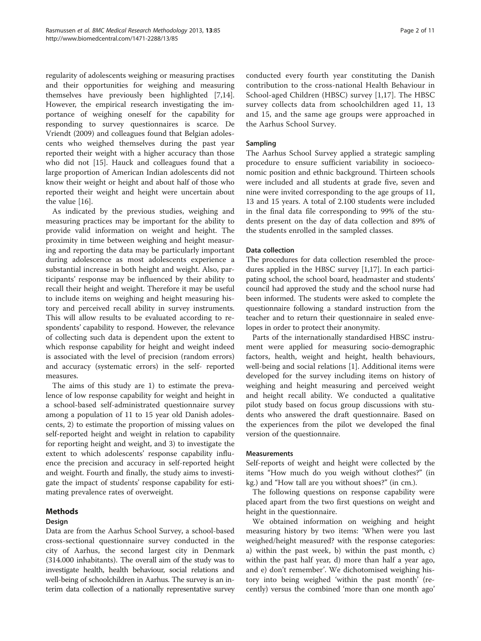regularity of adolescents weighing or measuring practises and their opportunities for weighing and measuring themselves have previously been highlighted [\[7,14](#page-10-0)]. However, the empirical research investigating the importance of weighing oneself for the capability for responding to survey questionnaires is scarce. De Vriendt (2009) and colleagues found that Belgian adolescents who weighed themselves during the past year reported their weight with a higher accuracy than those who did not [\[15](#page-10-0)]. Hauck and colleagues found that a large proportion of American Indian adolescents did not know their weight or height and about half of those who reported their weight and height were uncertain about the value [[16\]](#page-10-0).

As indicated by the previous studies, weighing and measuring practices may be important for the ability to provide valid information on weight and height. The proximity in time between weighing and height measuring and reporting the data may be particularly important during adolescence as most adolescents experience a substantial increase in both height and weight. Also, participants' response may be influenced by their ability to recall their height and weight. Therefore it may be useful to include items on weighing and height measuring history and perceived recall ability in survey instruments. This will allow results to be evaluated according to respondents' capability to respond. However, the relevance of collecting such data is dependent upon the extent to which response capability for height and weight indeed is associated with the level of precision (random errors) and accuracy (systematic errors) in the self- reported measures.

The aims of this study are 1) to estimate the prevalence of low response capability for weight and height in a school-based self-administrated questionnaire survey among a population of 11 to 15 year old Danish adolescents, 2) to estimate the proportion of missing values on self-reported height and weight in relation to capability for reporting height and weight, and 3) to investigate the extent to which adolescents' response capability influence the precision and accuracy in self-reported height and weight. Fourth and finally, the study aims to investigate the impact of students' response capability for estimating prevalence rates of overweight.

# Methods

# Design

Data are from the Aarhus School Survey, a school-based cross-sectional questionnaire survey conducted in the city of Aarhus, the second largest city in Denmark (314.000 inhabitants). The overall aim of the study was to investigate health, health behaviour, social relations and well-being of schoolchildren in Aarhus. The survey is an interim data collection of a nationally representative survey

conducted every fourth year constituting the Danish contribution to the cross-national Health Behaviour in School-aged Children (HBSC) survey [[1,](#page-9-0)[17\]](#page-10-0). The HBSC survey collects data from schoolchildren aged 11, 13 and 15, and the same age groups were approached in the Aarhus School Survey.

# Sampling

The Aarhus School Survey applied a strategic sampling procedure to ensure sufficient variability in socioeconomic position and ethnic background. Thirteen schools were included and all students at grade five, seven and nine were invited corresponding to the age groups of 11, 13 and 15 years. A total of 2.100 students were included in the final data file corresponding to 99% of the students present on the day of data collection and 89% of the students enrolled in the sampled classes.

### Data collection

The procedures for data collection resembled the procedures applied in the HBSC survey [[1,](#page-9-0)[17](#page-10-0)]. In each participating school, the school board, headmaster and students' council had approved the study and the school nurse had been informed. The students were asked to complete the questionnaire following a standard instruction from the teacher and to return their questionnaire in sealed envelopes in order to protect their anonymity.

Parts of the internationally standardised HBSC instrument were applied for measuring socio-demographic factors, health, weight and height, health behaviours, well-being and social relations [[1\]](#page-9-0). Additional items were developed for the survey including items on history of weighing and height measuring and perceived weight and height recall ability. We conducted a qualitative pilot study based on focus group discussions with students who answered the draft questionnaire. Based on the experiences from the pilot we developed the final version of the questionnaire.

## Measurements

Self-reports of weight and height were collected by the items "How much do you weigh without clothes?" (in kg.) and "How tall are you without shoes?" (in cm.).

The following questions on response capability were placed apart from the two first questions on weight and height in the questionnaire.

We obtained information on weighing and height measuring history by two items: 'When were you last weighed/height measured? with the response categories: a) within the past week, b) within the past month, c) within the past half year, d) more than half a year ago, and e) don't remember'. We dichotomised weighing history into being weighed 'within the past month' (recently) versus the combined 'more than one month ago'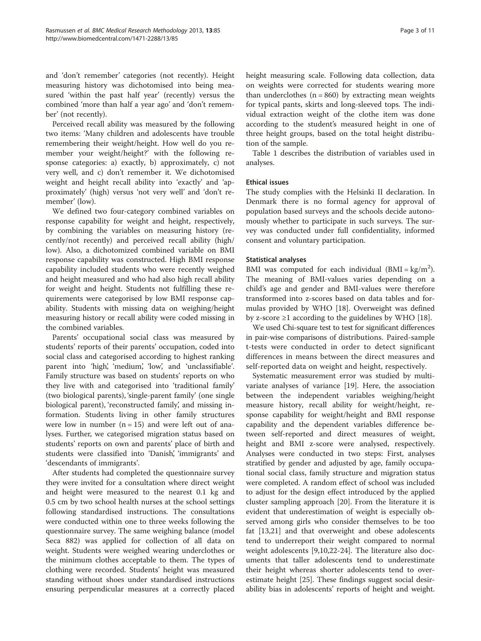and 'don't remember' categories (not recently). Height measuring history was dichotomised into being measured 'within the past half year' (recently) versus the combined 'more than half a year ago' and 'don't remember' (not recently).

Perceived recall ability was measured by the following two items: 'Many children and adolescents have trouble remembering their weight/height. How well do you remember your weight/height?' with the following response categories: a) exactly, b) approximately, c) not very well, and c) don't remember it. We dichotomised weight and height recall ability into 'exactly' and 'approximately' (high) versus 'not very well' and 'don't remember' (low).

We defined two four-category combined variables on response capability for weight and height, respectively, by combining the variables on measuring history (recently/not recently) and perceived recall ability (high/ low). Also, a dichotomized combined variable on BMI response capability was constructed. High BMI response capability included students who were recently weighed and height measured and who had also high recall ability for weight and height. Students not fulfilling these requirements were categorised by low BMI response capability. Students with missing data on weighing/height measuring history or recall ability were coded missing in the combined variables.

Parents' occupational social class was measured by students' reports of their parents' occupation, coded into social class and categorised according to highest ranking parent into 'high', 'medium', 'low', and 'unclassifiable'. Family structure was based on students' reports on who they live with and categorised into 'traditional family' (two biological parents), 'single-parent family' (one single biological parent), 'reconstructed family', and missing information. Students living in other family structures were low in number  $(n = 15)$  and were left out of analyses. Further, we categorised migration status based on students' reports on own and parents' place of birth and students were classified into 'Danish', 'immigrants' and 'descendants of immigrants'.

After students had completed the questionnaire survey they were invited for a consultation where direct weight and height were measured to the nearest 0.1 kg and 0.5 cm by two school health nurses at the school settings following standardised instructions. The consultations were conducted within one to three weeks following the questionnaire survey. The same weighing balance (model Seca 882) was applied for collection of all data on weight. Students were weighed wearing underclothes or the minimum clothes acceptable to them. The types of clothing were recorded. Students' height was measured standing without shoes under standardised instructions ensuring perpendicular measures at a correctly placed

on weights were corrected for students wearing more than underclothes  $(n = 860)$  by extracting mean weights for typical pants, skirts and long-sleeved tops. The individual extraction weight of the clothe item was done according to the student's measured height in one of three height groups, based on the total height distribution of the sample.

Table [1](#page-3-0) describes the distribution of variables used in analyses.

# Ethical issues

The study complies with the Helsinki II declaration. In Denmark there is no formal agency for approval of population based surveys and the schools decide autonomously whether to participate in such surveys. The survey was conducted under full confidentiality, informed consent and voluntary participation.

# Statistical analyses

BMI was computed for each individual  $(BMI = kg/m<sup>2</sup>)$ . The meaning of BMI-values varies depending on a child's age and gender and BMI-values were therefore transformed into z-scores based on data tables and formulas provided by WHO [[18\]](#page-10-0). Overweight was defined by z-score  $\geq 1$  according to the guidelines by WHO [\[18\]](#page-10-0).

We used Chi-square test to test for significant differences in pair-wise comparisons of distributions. Paired-sample t-tests were conducted in order to detect significant differences in means between the direct measures and self-reported data on weight and height, respectively.

Systematic measurement error was studied by multivariate analyses of variance [\[19](#page-10-0)]. Here, the association between the independent variables weighing/height measure history, recall ability for weight/height, response capability for weight/height and BMI response capability and the dependent variables difference between self-reported and direct measures of weight, height and BMI z-score were analysed, respectively. Analyses were conducted in two steps: First, analyses stratified by gender and adjusted by age, family occupational social class, family structure and migration status were completed. A random effect of school was included to adjust for the design effect introduced by the applied cluster sampling approach [[20\]](#page-10-0). From the literature it is evident that underestimation of weight is especially observed among girls who consider themselves to be too fat [\[13,21](#page-10-0)] and that overweight and obese adolescents tend to underreport their weight compared to normal weight adolescents [[9,10,22-24](#page-10-0)]. The literature also documents that taller adolescents tend to underestimate their height whereas shorter adolescents tend to overestimate height [\[25\]](#page-10-0). These findings suggest social desirability bias in adolescents' reports of height and weight.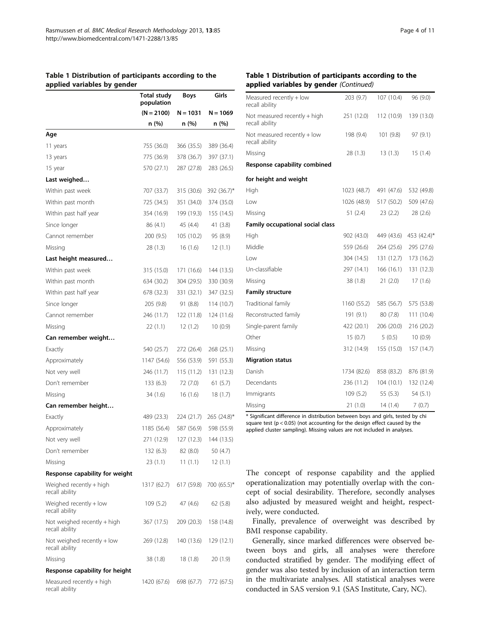<span id="page-3-0"></span>

|                             | Table 1 Distribution of participants according to the |  |  |
|-----------------------------|-------------------------------------------------------|--|--|
| applied variables by gender |                                                       |  |  |

|                                                | Total study<br>population | Boys       | Girls       |
|------------------------------------------------|---------------------------|------------|-------------|
|                                                | $(N = 2100)$              | $N = 1031$ | $N = 1069$  |
|                                                | n (%)                     | n (%)      | n (%)       |
| Age                                            |                           |            |             |
| 11 years                                       | 755 (36.0)                | 366 (35.5) | 389 (36.4)  |
| 13 years                                       | 775 (36.9)                | 378 (36.7) | 397 (37.1)  |
| 15 year                                        | 570 (27.1)                | 287 (27.8) | 283 (26.5)  |
| Last weighed                                   |                           |            |             |
| Within past week                               | 707 (33.7)                | 315 (30.6) | 392 (36.7)* |
| Within past month                              | 725 (34.5)                | 351 (34.0) | 374 (35.0)  |
| Within past half year                          | 354 (16.9)                | 199 (19.3) | 155 (14.5)  |
| Since longer                                   | 86 (4.1)                  | 45 (4.4)   | 41 (3.8)    |
| Cannot remember                                | 200 (9.5)                 | 105 (10.2) | 95 (8.9)    |
| Missing                                        | 28(1.3)                   | 16 (1.6)   | 12 (1.1)    |
| Last height measured                           |                           |            |             |
| Within past week                               | 315 (15.0)                | 171 (16.6) | 144 (13.5)  |
| Within past month                              | 634 (30.2)                | 304 (29.5) | 330 (30.9)  |
| Within past half year                          | 678 (32.3)                | 331 (32.1) | 347 (32.5)  |
| Since longer                                   | 205 (9.8)                 | 91(8.8)    | 114 (10.7)  |
| Cannot remember                                | 246 (11.7)                | 122 (11.8) | 124 (11.6)  |
| Missing                                        | 22(1.1)                   | 12 (1.2)   | 10(0.9)     |
| Can remember weight                            |                           |            |             |
| Exactly                                        | 540 (25.7)                | 272 (26.4) | 268 (25.1)  |
| Approximately                                  | 1147 (54.6)               | 556 (53.9) | 591 (55.3)  |
| Not very well                                  | 246 (11.7)                | 115 (11.2) | 131 (12.3)  |
| Don't remember                                 | 133(6.3)                  | 72 (7.0)   | 61(5.7)     |
| Missing                                        | 34 (1.6)                  | 16(1.6)    | 18 (1.7)    |
| Can remember height                            |                           |            |             |
| Exactly                                        | 489 (23.3)                | 224(21.7)  | 265 (24.8)* |
| Approximately                                  | 1185 (56.4)               | 587 (56.9) | 598 (55.9)  |
| Not very well                                  | 271 (12.9)                | 127 (12.3) | 144 (13.5)  |
| Don't remember                                 | 132 (6.3)                 | 82 (8.0)   | 50 (4.7)    |
| Missing                                        | 23 (1.1)                  | 11(1.1)    | 12 (1.1)    |
| Response capability for weight                 |                           |            |             |
| Weighed recently + high<br>recall ability      | 1317 (62.7)               | 617 (59.8) | 700 (65.5)* |
| Weighed recently + low<br>recall ability       | 109 (5.2)                 | 47 (4.6)   | 62(5.8)     |
| Not weighed recently + high<br>recall ability  | 367 (17.5)                | 209 (20.3) | 158 (14.8)  |
| Not weighed recently $+$ low<br>recall ability | 269 (12.8)                | 140 (13.6) | 129 (12.1)  |
| Missing                                        | 38 (1.8)                  | 18 (1.8)   | 20 (1.9)    |
| Response capability for height                 |                           |            |             |
| Measured recently + high<br>recall ability     | 1420 (67.6)               | 698 (67.7) | 772 (67.5)  |

# Table 1 Distribution of participants according to the applied variables by gender (Continued)

| Measured recently + low<br>recall ability      | 203 (9.7)   | 107 (10.4) | 96 (9.0)    |
|------------------------------------------------|-------------|------------|-------------|
| Not measured recently + high<br>recall ability | 251 (12.0)  | 112 (10.9) | 139 (13.0)  |
| Not measured recently + low<br>recall ability  | 198 (9.4)   | 101 (9.8)  | 97(9.1)     |
| Missing                                        | 28 (1.3)    | 13(1.3)    | 15(1.4)     |
| Response capability combined                   |             |            |             |
| for height and weight                          |             |            |             |
| High                                           | 1023 (48.7) | 491 (47.6) | 532 (49.8)  |
| l ow                                           | 1026 (48.9) | 517 (50.2) | 509 (47.6)  |
| Missing                                        | 51(2.4)     | 23(2.2)    | 28 (2.6)    |
| Family occupational social class               |             |            |             |
| High                                           | 902 (43.0)  | 449 (43.6) | 453 (42.4)* |
| Middle                                         | 559 (26.6)  | 264 (25.6) | 295 (27.6)  |
| l ow                                           | 304 (14.5)  | 131 (12.7) | 173 (16.2)  |
| Un-classifiable                                | 297 (14.1)  | 166(16.1)  | 131 (12.3)  |
| Missing                                        | 38 (1.8)    | 21(2.0)    | 17(1.6)     |
| <b>Family structure</b>                        |             |            |             |
| Traditional family                             | 1160 (55.2) | 585 (56.7) | 575 (53.8)  |
| Reconstructed family                           | 191 (9.1)   | 80(7.8)    | 111(10.4)   |
| Single-parent family                           | 422 (20.1)  | 206 (20.0) | 216 (20.2)  |
| Other                                          | 15(0.7)     | 5(0.5)     | 10(0.9)     |
| Missing                                        | 312 (14.9)  | 155 (15.0) | 157 (14.7)  |
| <b>Migration status</b>                        |             |            |             |
| Danish                                         | 1734 (82.6) | 858 (83.2) | 876 (81.9)  |
| Decendants                                     | 236 (11.2)  | 104(10.1)  | 132 (12.4)  |
| Immigrants                                     | 109 (5.2)   | 55 (5.3)   | 54(5.1)     |
| Missing                                        | 21(1.0)     | 14(1.4)    | 7(0.7)      |

\* Significant difference in distribution between boys and girls, tested by chi square test (p < 0.05) (not accounting for the design effect caused by the applied cluster sampling). Missing values are not included in analyses.

The concept of response capability and the applied operationalization may potentially overlap with the concept of social desirability. Therefore, secondly analyses also adjusted by measured weight and height, respectively, were conducted.

Finally, prevalence of overweight was described by BMI response capability.

Generally, since marked differences were observed between boys and girls, all analyses were therefore conducted stratified by gender. The modifying effect of gender was also tested by inclusion of an interaction term in the multivariate analyses. All statistical analyses were conducted in SAS version 9.1 (SAS Institute, Cary, NC).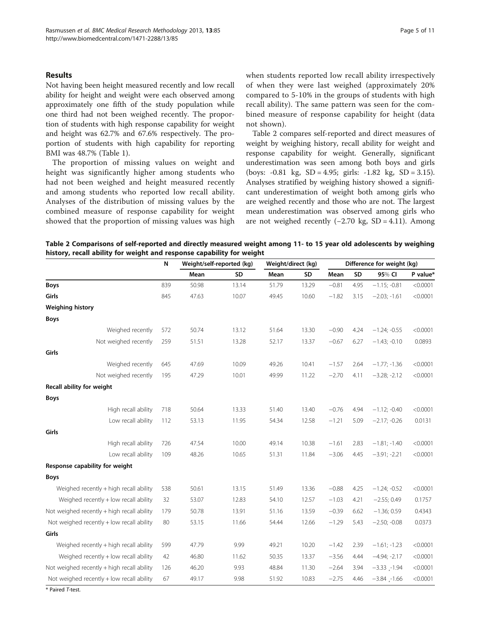# Results

Not having been height measured recently and low recall ability for height and weight were each observed among approximately one fifth of the study population while

one third had not been weighed recently. The proportion of students with high response capability for weight and height was 62.7% and 67.6% respectively. The proportion of students with high capability for reporting BMI was 48.7% (Table [1\)](#page-3-0).

The proportion of missing values on weight and height was significantly higher among students who had not been weighed and height measured recently and among students who reported low recall ability. Analyses of the distribution of missing values by the combined measure of response capability for weight showed that the proportion of missing values was high when students reported low recall ability irrespectively of when they were last weighed (approximately 20% compared to 5-10% in the groups of students with high recall ability). The same pattern was seen for the combined measure of response capability for height (data not shown).

Table 2 compares self-reported and direct measures of weight by weighing history, recall ability for weight and response capability for weight. Generally, significant underestimation was seen among both boys and girls (boys:  $-0.81$  kg,  $SD = 4.95$ ; girls:  $-1.82$  kg,  $SD = 3.15$ ). Analyses stratified by weighing history showed a significant underestimation of weight both among girls who are weighed recently and those who are not. The largest mean underestimation was observed among girls who are not weighed recently  $(-2.70 \text{ kg}, SD = 4.11)$ . Among

|  |                                                                       | Table 2 Comparisons of self-reported and directly measured weight among 11- to 15 year old adolescents by weighing |  |  |
|--|-----------------------------------------------------------------------|--------------------------------------------------------------------------------------------------------------------|--|--|
|  | history, recall ability for weight and response capability for weight |                                                                                                                    |  |  |

|                                            | N   | Weight/self-reported (kg) |       | Weight/direct (kg) |       | Difference for weight (kg) |      |                |          |
|--------------------------------------------|-----|---------------------------|-------|--------------------|-------|----------------------------|------|----------------|----------|
|                                            |     | Mean                      | SD    | Mean               | SD    | Mean                       | SD   | 95% CI         | P value* |
| <b>Boys</b>                                | 839 | 50.98                     | 13.14 | 51.79              | 13.29 | $-0.81$                    | 4.95 | $-1.15; -0.81$ | < 0.0001 |
| Girls                                      | 845 | 47.63                     | 10.07 | 49.45              | 10.60 | $-1.82$                    | 3.15 | $-2.03; -1.61$ | < 0.0001 |
| <b>Weighing history</b>                    |     |                           |       |                    |       |                            |      |                |          |
| <b>Boys</b>                                |     |                           |       |                    |       |                            |      |                |          |
| Weighed recently                           | 572 | 50.74                     | 13.12 | 51.64              | 13.30 | $-0.90$                    | 4.24 | $-1.24; -0.55$ | < 0.0001 |
| Not weighed recently                       | 259 | 51.51                     | 13.28 | 52.17              | 13.37 | $-0.67$                    | 6.27 | $-1.43; -0.10$ | 0.0893   |
| Girls                                      |     |                           |       |                    |       |                            |      |                |          |
| Weighed recently                           | 645 | 47.69                     | 10.09 | 49.26              | 10.41 | $-1.57$                    | 2.64 | $-1.77; -1.36$ | < 0.0001 |
| Not weighed recently                       | 195 | 47.29                     | 10.01 | 49.99              | 11.22 | $-2.70$                    | 4.11 | $-3.28; -2.12$ | < 0.0001 |
| Recall ability for weight                  |     |                           |       |                    |       |                            |      |                |          |
| <b>Boys</b>                                |     |                           |       |                    |       |                            |      |                |          |
| High recall ability                        | 718 | 50.64                     | 13.33 | 51.40              | 13.40 | $-0.76$                    | 4.94 | $-1.12; -0.40$ | < 0.0001 |
| Low recall ability                         | 112 | 53.13                     | 11.95 | 54.34              | 12.58 | $-1.21$                    | 5.09 | $-2.17; -0.26$ | 0.0131   |
| Girls                                      |     |                           |       |                    |       |                            |      |                |          |
| High recall ability                        | 726 | 47.54                     | 10.00 | 49.14              | 10.38 | $-1.61$                    | 2.83 | $-1.81; -1.40$ | < 0.0001 |
| Low recall ability                         | 109 | 48.26                     | 10.65 | 51.31              | 11.84 | $-3.06$                    | 4.45 | $-3.91; -2.21$ | < 0.0001 |
| Response capability for weight             |     |                           |       |                    |       |                            |      |                |          |
| <b>Boys</b>                                |     |                           |       |                    |       |                            |      |                |          |
| Weighed recently + high recall ability     | 538 | 50.61                     | 13.15 | 51.49              | 13.36 | $-0.88$                    | 4.25 | $-1.24; -0.52$ | < 0.0001 |
| Weighed recently + low recall ability      | 32  | 53.07                     | 12.83 | 54.10              | 12.57 | $-1.03$                    | 4.21 | $-2.55; 0.49$  | 0.1757   |
| Not weighed recently + high recall ability | 179 | 50.78                     | 13.91 | 51.16              | 13.59 | $-0.39$                    | 6.62 | $-1.36; 0.59$  | 0.4343   |
| Not weighed recently + low recall ability  | 80  | 53.15                     | 11.66 | 54.44              | 12.66 | $-1.29$                    | 5.43 | $-2.50; -0.08$ | 0.0373   |
| Girls                                      |     |                           |       |                    |       |                            |      |                |          |
| Weighed recently + high recall ability     | 599 | 47.79                     | 9.99  | 49.21              | 10.20 | $-1.42$                    | 2.39 | $-1.61; -1.23$ | < 0.0001 |
| Weighed recently + low recall ability      | 42  | 46.80                     | 11.62 | 50.35              | 13.37 | $-3.56$                    | 4.44 | $-4.94; -2.17$ | < 0.0001 |
| Not weighed recently + high recall ability | 126 | 46.20                     | 9.93  | 48.84              | 11.30 | $-2.64$                    | 3.94 | $-3.33 - 1.94$ | < 0.0001 |
| Not weighed recently + low recall ability  | 67  | 49.17                     | 9.98  | 51.92              | 10.83 | $-2.75$                    | 4.46 | $-3.84, -1.66$ | < 0.0001 |

\* Paired T-test.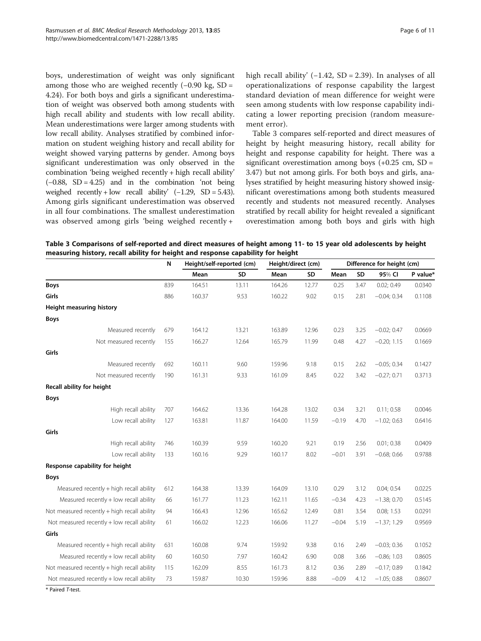boys, underestimation of weight was only significant among those who are weighed recently  $(-0.90 \text{ kg}, SD =$ 4.24). For both boys and girls a significant underestimation of weight was observed both among students with high recall ability and students with low recall ability. Mean underestimations were larger among students with low recall ability. Analyses stratified by combined information on student weighing history and recall ability for weight showed varying patterns by gender. Among boys significant underestimation was only observed in the combination 'being weighed recently + high recall ability' (−0.88, SD = 4.25) and in the combination 'not being weighed recently + low recall ability'  $(-1.29, SD = 5.43)$ . Among girls significant underestimation was observed in all four combinations. The smallest underestimation was observed among girls 'being weighed recently +

high recall ability'  $(-1.42, SD = 2.39)$ . In analyses of all operationalizations of response capability the largest standard deviation of mean difference for weight were seen among students with low response capability indicating a lower reporting precision (random measurement error).

Table 3 compares self-reported and direct measures of height by height measuring history, recall ability for height and response capability for height. There was a significant overestimation among boys  $(+0.25 \text{ cm}, \text{ SD} =$ 3.47) but not among girls. For both boys and girls, analyses stratified by height measuring history showed insignificant overestimations among both students measured recently and students not measured recently. Analyses stratified by recall ability for height revealed a significant overestimation among both boys and girls with high

Table 3 Comparisons of self-reported and direct measures of height among 11- to 15 year old adolescents by height measuring history, recall ability for height and response capability for height

|                                             | N   | Height/self-reported (cm) |       | Height/direct (cm) |       | Difference for height (cm) |      |               |          |
|---------------------------------------------|-----|---------------------------|-------|--------------------|-------|----------------------------|------|---------------|----------|
|                                             |     | Mean                      | SD    | Mean               | SD    | Mean                       | SD   | 95% CI        | P value* |
| <b>Boys</b>                                 | 839 | 164.51                    | 13.11 | 164.26             | 12.77 | 0.25                       | 3.47 | 0.02; 0.49    | 0.0340   |
| Girls                                       | 886 | 160.37                    | 9.53  | 160.22             | 9.02  | 0.15                       | 2.81 | $-0.04; 0.34$ | 0.1108   |
| Height measuring history                    |     |                           |       |                    |       |                            |      |               |          |
| <b>Boys</b>                                 |     |                           |       |                    |       |                            |      |               |          |
| Measured recently                           | 679 | 164.12                    | 13.21 | 163.89             | 12.96 | 0.23                       | 3.25 | $-0.02; 0.47$ | 0.0669   |
| Not measured recently                       | 155 | 166.27                    | 12.64 | 165.79             | 11.99 | 0.48                       | 4.27 | $-0.20; 1.15$ | 0.1669   |
| Girls                                       |     |                           |       |                    |       |                            |      |               |          |
| Measured recently                           | 692 | 160.11                    | 9.60  | 159.96             | 9.18  | 0.15                       | 2.62 | $-0.05; 0.34$ | 0.1427   |
| Not measured recently                       | 190 | 161.31                    | 9.33  | 161.09             | 8.45  | 0.22                       | 3.42 | $-0.27; 0.71$ | 0.3713   |
| Recall ability for height                   |     |                           |       |                    |       |                            |      |               |          |
| <b>Boys</b>                                 |     |                           |       |                    |       |                            |      |               |          |
| High recall ability                         | 707 | 164.62                    | 13.36 | 164.28             | 13.02 | 0.34                       | 3.21 | 0.11; 0.58    | 0.0046   |
| Low recall ability                          | 127 | 163.81                    | 11.87 | 164.00             | 11.59 | $-0.19$                    | 4.70 | $-1.02; 0.63$ | 0.6416   |
| Girls                                       |     |                           |       |                    |       |                            |      |               |          |
| High recall ability                         | 746 | 160.39                    | 9.59  | 160.20             | 9.21  | 0.19                       | 2.56 | 0.01; 0.38    | 0.0409   |
| Low recall ability                          | 133 | 160.16                    | 9.29  | 160.17             | 8.02  | $-0.01$                    | 3.91 | $-0.68;0.66$  | 0.9788   |
| Response capability for height              |     |                           |       |                    |       |                            |      |               |          |
| <b>Boys</b>                                 |     |                           |       |                    |       |                            |      |               |          |
| Measured recently + high recall ability     | 612 | 164.38                    | 13.39 | 164.09             | 13.10 | 0.29                       | 3.12 | 0.04; 0.54    | 0.0225   |
| Measured recently + low recall ability      | 66  | 161.77                    | 11.23 | 162.11             | 11.65 | $-0.34$                    | 4.23 | $-1.38; 0.70$ | 0.5145   |
| Not measured recently + high recall ability | 94  | 166.43                    | 12.96 | 165.62             | 12.49 | 0.81                       | 3.54 | 0.08; 1.53    | 0.0291   |
| Not measured recently + low recall ability  | 61  | 166.02                    | 12.23 | 166.06             | 11.27 | $-0.04$                    | 5.19 | $-1.37; 1.29$ | 0.9569   |
| Girls                                       |     |                           |       |                    |       |                            |      |               |          |
| Measured recently + high recall ability     | 631 | 160.08                    | 9.74  | 159.92             | 9.38  | 0.16                       | 2.49 | $-0.03; 0.36$ | 0.1052   |
| Measured recently $+$ low recall ability    | 60  | 160.50                    | 7.97  | 160.42             | 6.90  | 0.08                       | 3.66 | $-0.86; 1.03$ | 0.8605   |
| Not measured recently + high recall ability | 115 | 162.09                    | 8.55  | 161.73             | 8.12  | 0.36                       | 2.89 | $-0.17;0.89$  | 0.1842   |
| Not measured recently + low recall ability  | 73  | 159.87                    | 10.30 | 159.96             | 8.88  | $-0.09$                    | 4.12 | $-1.05; 0.88$ | 0.8607   |

\* Paired T-test.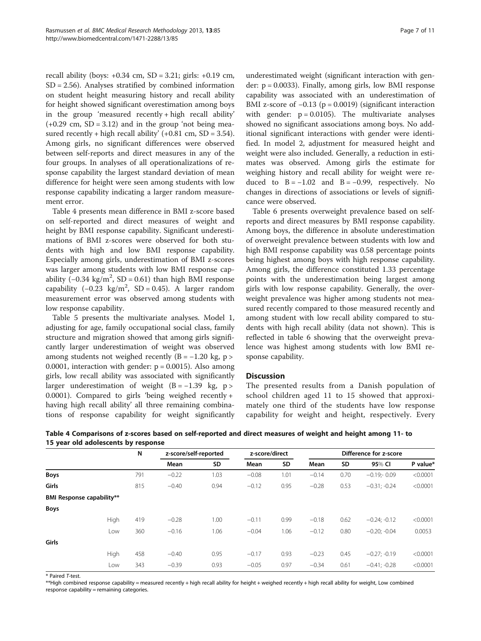recall ability (boys:  $+0.34$  cm, SD = 3.21; girls:  $+0.19$  cm,  $SD = 2.56$ ). Analyses stratified by combined information on student height measuring history and recall ability for height showed significant overestimation among boys in the group 'measured recently + high recall ability'  $(+0.29 \text{ cm}, SD = 3.12)$  and in the group 'not being measured recently + high recall ability'  $(+0.81 \text{ cm}, SD = 3.54)$ . Among girls, no significant differences were observed between self-reports and direct measures in any of the four groups. In analyses of all operationalizations of response capability the largest standard deviation of mean difference for height were seen among students with low response capability indicating a larger random measurement error.

Table 4 presents mean difference in BMI z-score based on self-reported and direct measures of weight and height by BMI response capability. Significant underestimations of BMI z-scores were observed for both students with high and low BMI response capability. Especially among girls, underestimation of BMI z-scores was larger among students with low BMI response capability  $(-0.34 \text{ kg/m}^2, SD = 0.61)$  than high BMI response capability  $(-0.23 \text{ kg/m}^2, \text{ SD} = 0.45)$ . A larger random measurement error was observed among students with low response capability.

Table [5](#page-7-0) presents the multivariate analyses. Model 1, adjusting for age, family occupational social class, family structure and migration showed that among girls significantly larger underestimation of weight was observed among students not weighed recently  $(B = -1.20 \text{ kg}, p >$ 0.0001, interaction with gender:  $p = 0.0015$ ). Also among girls, low recall ability was associated with significantly larger underestimation of weight  $(B = -1.39 \text{ kg}, \text{ p} >$ 0.0001). Compared to girls 'being weighed recently + having high recall ability' all three remaining combinations of response capability for weight significantly

underestimated weight (significant interaction with gender: p = 0.0033). Finally, among girls, low BMI response capability was associated with an underestimation of BMI z-score of −0.13 (p = 0.0019) (significant interaction with gender:  $p = 0.0105$ . The multivariate analyses showed no significant associations among boys. No additional significant interactions with gender were identified. In model 2, adjustment for measured height and weight were also included. Generally, a reduction in estimates was observed. Among girls the estimate for weighing history and recall ability for weight were reduced to  $B = -1.02$  and  $B = -0.99$ , respectively. No changes in directions of associations or levels of significance were observed.

Table [6](#page-8-0) presents overweight prevalence based on selfreports and direct measures by BMI response capability. Among boys, the difference in absolute underestimation of overweight prevalence between students with low and high BMI response capability was 0.58 percentage points being highest among boys with high response capability. Among girls, the difference constituted 1.33 percentage points with the underestimation being largest among girls with low response capability. Generally, the overweight prevalence was higher among students not measured recently compared to those measured recently and among student with low recall ability compared to students with high recall ability (data not shown). This is reflected in table [6](#page-8-0) showing that the overweight prevalence was highest among students with low BMI response capability.

# **Discussion**

The presented results from a Danish population of school children aged 11 to 15 showed that approximately one third of the students have low response capability for weight and height, respectively. Every

|             |                           | N   | z-score/self-reported |      |         | z-score/direct |         | Difference for z-score |                |          |  |
|-------------|---------------------------|-----|-----------------------|------|---------|----------------|---------|------------------------|----------------|----------|--|
|             |                           |     | Mean                  | SD   | Mean    | SD             | Mean    | SD                     | 95% CI         | P value* |  |
| <b>Boys</b> |                           | 791 | $-0.22$               | 1.03 | $-0.08$ | 1.01           | $-0.14$ | 0.70                   | $-0.19 - 0.09$ | < 0.0001 |  |
| Girls       |                           | 815 | $-0.40$               | 0.94 | $-0.12$ | 0.95           | $-0.28$ | 0.53                   | $-0.31; -0.24$ | < 0.0001 |  |
|             | BMI Response capability** |     |                       |      |         |                |         |                        |                |          |  |
| <b>Boys</b> |                           |     |                       |      |         |                |         |                        |                |          |  |
|             | High                      | 419 | $-0.28$               | 1.00 | $-0.11$ | 0.99           | $-0.18$ | 0.62                   | $-0.24; -0.12$ | < 0.0001 |  |
|             | Low                       | 360 | $-0.16$               | 1.06 | $-0.04$ | 1.06           | $-0.12$ | 0.80                   | $-0.20; -0.04$ | 0.0053   |  |
| Girls       |                           |     |                       |      |         |                |         |                        |                |          |  |
|             | High                      | 458 | $-0.40$               | 0.95 | $-0.17$ | 0.93           | $-0.23$ | 0.45                   | $-0.27; -0.19$ | < 0.0001 |  |
|             | Low                       | 343 | $-0.39$               | 0.93 | $-0.05$ | 0.97           | $-0.34$ | 0.61                   | $-0.41; -0.28$ | < 0.0001 |  |

Table 4 Comparisons of z-scores based on self-reported and direct measures of weight and height among 11- to 15 year old adolescents by response

\* Paired T-test.

\*\*High combined response capability = measured recently + high recall ability for height + weighed recently + high recall ability for weight, Low combined response capability = remaining categories.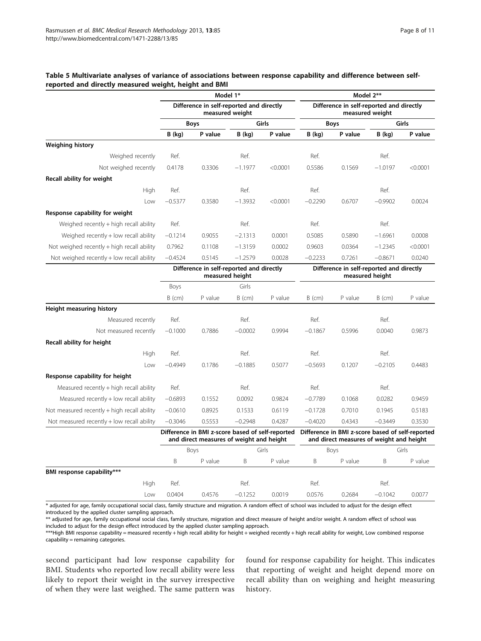|                                              | Model 1*                                                    |         |                                                                                              |          | Model 2**                                                   |         |                                                                                              |          |
|----------------------------------------------|-------------------------------------------------------------|---------|----------------------------------------------------------------------------------------------|----------|-------------------------------------------------------------|---------|----------------------------------------------------------------------------------------------|----------|
|                                              |                                                             |         | Difference in self-reported and directly<br>measured weight                                  |          | Difference in self-reported and directly<br>measured weight |         |                                                                                              |          |
|                                              |                                                             | Boys    | Girls                                                                                        |          |                                                             | Boys    | Girls                                                                                        |          |
|                                              | B (kg)                                                      | P value | <b>B</b> (kg)                                                                                | P value  | B (kg)                                                      | P value | <b>B</b> (kg)                                                                                | P value  |
| Weighing history                             |                                                             |         |                                                                                              |          |                                                             |         |                                                                                              |          |
| Weighed recently                             | Ref.                                                        |         | Ref.                                                                                         |          | Ref.                                                        |         | Ref.                                                                                         |          |
| Not weighed recently                         | 0.4178                                                      | 0.3306  | $-1.1977$                                                                                    | < 0.0001 | 0.5586                                                      | 0.1569  | $-1.0197$                                                                                    | < 0.0001 |
| Recall ability for weight                    |                                                             |         |                                                                                              |          |                                                             |         |                                                                                              |          |
| High                                         | Ref.                                                        |         | Ref.                                                                                         |          | Ref.                                                        |         | Ref.                                                                                         |          |
| Low                                          | $-0.5377$                                                   | 0.3580  | $-1.3932$                                                                                    | < 0.0001 | $-0.2290$                                                   | 0.6707  | $-0.9902$                                                                                    | 0.0024   |
| Response capability for weight               |                                                             |         |                                                                                              |          |                                                             |         |                                                                                              |          |
| Weighed recently + high recall ability       | Ref.                                                        |         | Ref.                                                                                         |          | Ref.                                                        |         | Ref.                                                                                         |          |
| Weighed recently + low recall ability        | $-0.1214$                                                   | 0.9055  | $-2.1313$                                                                                    | 0.0001   | 0.5085                                                      | 0.5890  | $-1.6961$                                                                                    | 0.0008   |
| Not weighed recently + high recall ability   | 0.7962                                                      | 0.1108  | $-1.3159$                                                                                    | 0.0002   | 0.9603                                                      | 0.0364  | $-1.2345$                                                                                    | < 0.0001 |
| Not weighed recently $+$ low recall ability  | $-0.4524$                                                   | 0.5145  | $-1.2579$                                                                                    | 0.0028   | $-0.2233$                                                   | 0.7261  | $-0.8671$                                                                                    | 0.0240   |
|                                              | Difference in self-reported and directly<br>measured height |         |                                                                                              |          | Difference in self-reported and directly<br>measured height |         |                                                                                              |          |
|                                              | Boys                                                        |         | Girls                                                                                        |          |                                                             |         |                                                                                              |          |
|                                              | $B$ (cm)                                                    | P value | $B$ (cm)                                                                                     | P value  | $B$ (cm)                                                    | P value | $B$ (cm)                                                                                     | P value  |
| <b>Height measuring history</b>              |                                                             |         |                                                                                              |          |                                                             |         |                                                                                              |          |
| Measured recently                            | Ref.                                                        |         | Ref.                                                                                         |          | Ref.                                                        |         | Ref.                                                                                         |          |
| Not measured recently                        | $-0.1000$                                                   | 0.7886  | $-0.0002$                                                                                    | 0.9994   | $-0.1867$                                                   | 0.5996  | 0.0040                                                                                       | 0.9873   |
| Recall ability for height                    |                                                             |         |                                                                                              |          |                                                             |         |                                                                                              |          |
| High                                         | Ref.                                                        |         | Ref.                                                                                         |          | Ref.                                                        |         | Ref.                                                                                         |          |
| Low                                          | $-0.4949$                                                   | 0.1786  | $-0.1885$                                                                                    | 0.5077   | $-0.5693$                                                   | 0.1207  | $-0.2105$                                                                                    | 0.4483   |
| Response capability for height               |                                                             |         |                                                                                              |          |                                                             |         |                                                                                              |          |
| Measured recently + high recall ability      | Ref.                                                        |         | Ref.                                                                                         |          | Ref.                                                        |         | Ref.                                                                                         |          |
| Measured recently $+$ low recall ability     | $-0.6893$                                                   | 0.1552  | 0.0092                                                                                       | 0.9824   | $-0.7789$                                                   | 0.1068  | 0.0282                                                                                       | 0.9459   |
| Not measured recently + high recall ability  | $-0.0610$                                                   | 0.8925  | 0.1533                                                                                       | 0.6119   | $-0.1728$                                                   | 0.7010  | 0.1945                                                                                       | 0.5183   |
| Not measured recently $+$ low recall ability | $-0.3046$                                                   | 0.5553  | $-0.2948$                                                                                    | 0.4287   | $-0.4020$                                                   | 0.4343  | $-0.3449$                                                                                    | 0.3530   |
|                                              |                                                             |         | Difference in BMI z-score based of self-reported<br>and direct measures of weight and height |          |                                                             |         | Difference in BMI z-score based of self-reported<br>and direct measures of weight and height |          |
|                                              |                                                             | Boys    |                                                                                              | Girls    |                                                             | Boys    |                                                                                              | Girls    |
|                                              | B                                                           | P value | B                                                                                            | P value  | B                                                           | P value | B                                                                                            | P value  |
| BMI response capability***                   |                                                             |         |                                                                                              |          |                                                             |         |                                                                                              |          |
| High                                         | Ref.                                                        |         | Ref.                                                                                         |          | Ref.                                                        |         | Ref.                                                                                         |          |
| Low                                          | 0.0404                                                      | 0.4576  | $-0.1252$                                                                                    | 0.0019   | 0.0576                                                      | 0.2684  | $-0.1042$                                                                                    | 0.0077   |

# <span id="page-7-0"></span>Table 5 Multivariate analyses of variance of associations between response capability and difference between selfreported and directly measured weight, height and BMI

\* adjusted for age, family occupational social class, family structure and migration. A random effect of school was included to adjust for the design effect introduced by the applied cluster sampling approach.

\*\* adjusted for age, family occupational social class, family structure, migration and direct measure of height and/or weight. A random effect of school was included to adjust for the design effect introduced by the applied cluster sampling approach.

\*\*\*High BMI response capability = measured recently + high recall ability for height + weighed recently + high recall ability for weight, Low combined response capability = remaining categories.

second participant had low response capability for BMI. Students who reported low recall ability were less likely to report their weight in the survey irrespective of when they were last weighed. The same pattern was

found for response capability for height. This indicates that reporting of weight and height depend more on recall ability than on weighing and height measuring history.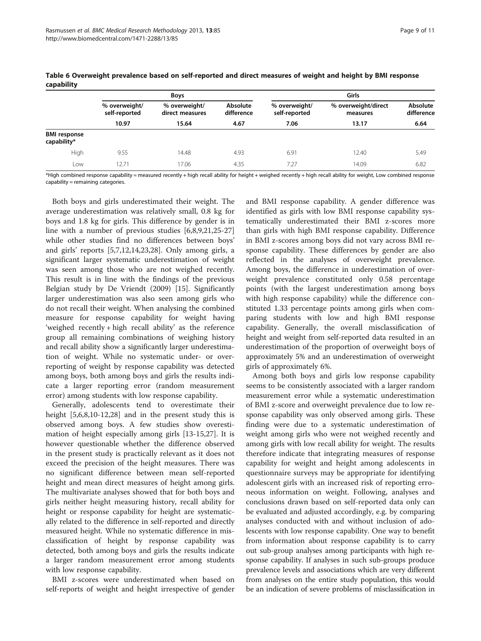|                                    |                                | <b>Boys</b>                      |                        | Girls                          |                                 |                        |  |  |
|------------------------------------|--------------------------------|----------------------------------|------------------------|--------------------------------|---------------------------------|------------------------|--|--|
|                                    | % overweight/<br>self-reported | % overweight/<br>direct measures | Absolute<br>difference | % overweight/<br>self-reported | % overweight/direct<br>measures | Absolute<br>difference |  |  |
|                                    | 10.97                          | 15.64                            | 4.67                   | 7.06                           | 13.17                           | 6.64                   |  |  |
| <b>BMI</b> response<br>capability* |                                |                                  |                        |                                |                                 |                        |  |  |
| High                               | 9.55                           | 14.48                            | 4.93                   | 6.91                           | 12.40                           | 5.49                   |  |  |
| Low                                | 12.71                          | 17.06                            | 4.35                   | 7.27                           | 14.09                           | 6.82                   |  |  |

<span id="page-8-0"></span>Table 6 Overweight prevalence based on self-reported and direct measures of weight and height by BMI response capability

\*High combined response capability = measured recently + high recall ability for height + weighed recently + high recall ability for weight, Low combined response capability = remaining categories.

Both boys and girls underestimated their weight. The average underestimation was relatively small, 0.8 kg for boys and 1.8 kg for girls. This difference by gender is in line with a number of previous studies [\[6,](#page-9-0)[8,9,21,25-27](#page-10-0)] while other studies find no differences between boys' and girls' reports [\[5](#page-9-0)[,7,12,14,23,28](#page-10-0)]. Only among girls, a significant larger systematic underestimation of weight was seen among those who are not weighed recently. This result is in line with the findings of the previous Belgian study by De Vriendt (2009) [\[15](#page-10-0)]. Significantly larger underestimation was also seen among girls who do not recall their weight. When analysing the combined measure for response capability for weight having 'weighed recently + high recall ability' as the reference group all remaining combinations of weighing history and recall ability show a significantly larger underestimation of weight. While no systematic under- or overreporting of weight by response capability was detected among boys, both among boys and girls the results indicate a larger reporting error (random measurement error) among students with low response capability.

Generally, adolescents tend to overestimate their height [[5,6,](#page-9-0)[8,10-12,28](#page-10-0)] and in the present study this is observed among boys. A few studies show overestimation of height especially among girls [\[13](#page-10-0)-[15,27\]](#page-10-0). It is however questionable whether the difference observed in the present study is practically relevant as it does not exceed the precision of the height measures. There was no significant difference between mean self-reported height and mean direct measures of height among girls. The multivariate analyses showed that for both boys and girls neither height measuring history, recall ability for height or response capability for height are systematically related to the difference in self-reported and directly measured height. While no systematic difference in misclassification of height by response capability was detected, both among boys and girls the results indicate a larger random measurement error among students with low response capability.

BMI z-scores were underestimated when based on self-reports of weight and height irrespective of gender

and BMI response capability. A gender difference was identified as girls with low BMI response capability systematically underestimated their BMI z-scores more than girls with high BMI response capability. Difference in BMI z-scores among boys did not vary across BMI response capability. These differences by gender are also reflected in the analyses of overweight prevalence. Among boys, the difference in underestimation of overweight prevalence constituted only 0.58 percentage points (with the largest underestimation among boys with high response capability) while the difference constituted 1.33 percentage points among girls when comparing students with low and high BMI response capability. Generally, the overall misclassification of height and weight from self-reported data resulted in an underestimation of the proportion of overweight boys of approximately 5% and an underestimation of overweight girls of approximately 6%.

Among both boys and girls low response capability seems to be consistently associated with a larger random measurement error while a systematic underestimation of BMI z-score and overweight prevalence due to low response capability was only observed among girls. These finding were due to a systematic underestimation of weight among girls who were not weighed recently and among girls with low recall ability for weight. The results therefore indicate that integrating measures of response capability for weight and height among adolescents in questionnaire surveys may be appropriate for identifying adolescent girls with an increased risk of reporting erroneous information on weight. Following, analyses and conclusions drawn based on self-reported data only can be evaluated and adjusted accordingly, e.g. by comparing analyses conducted with and without inclusion of adolescents with low response capability. One way to benefit from information about response capability is to carry out sub-group analyses among participants with high response capability. If analyses in such sub-groups produce prevalence levels and associations which are very different from analyses on the entire study population, this would be an indication of severe problems of misclassification in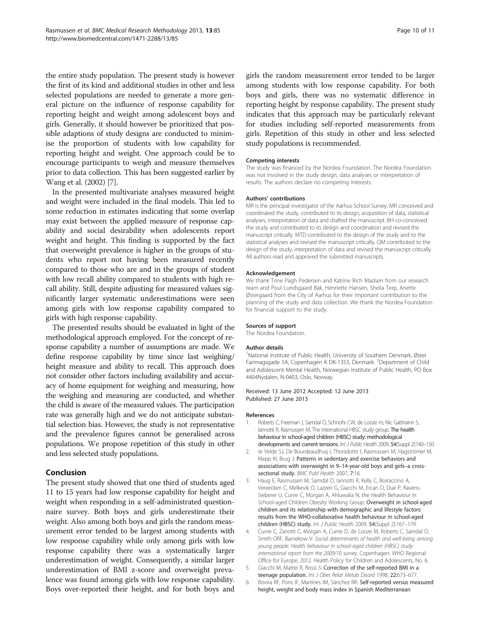<span id="page-9-0"></span>the entire study population. The present study is however the first of its kind and additional studies in other and less selected populations are needed to generate a more general picture on the influence of response capability for reporting height and weight among adolescent boys and girls. Generally, it should however be prioritized that possible adaptions of study designs are conducted to minimise the proportion of students with low capability for reporting height and weight. One approach could be to encourage participants to weigh and measure themselves prior to data collection. This has been suggested earlier by Wang et al. (2002) [\[7\]](#page-10-0).

In the presented multivariate analyses measured height and weight were included in the final models. This led to some reduction in estimates indicating that some overlap may exist between the applied measure of response capability and social desirability when adolescents report weight and height. This finding is supported by the fact that overweight prevalence is higher in the groups of students who report not having been measured recently compared to those who are and in the groups of student with low recall ability compared to students with high recall ability. Still, despite adjusting for measured values significantly larger systematic underestimations were seen among girls with low response capability compared to girls with high response capability.

The presented results should be evaluated in light of the methodological approach employed. For the concept of response capability a number of assumptions are made. We define response capability by time since last weighing/ height measure and ability to recall. This approach does not consider other factors including availability and accuracy of home equipment for weighing and measuring, how the weighing and measuring are conducted, and whether the child is aware of the measured values. The participation rate was generally high and we do not anticipate substantial selection bias. However, the study is not representative and the prevalence figures cannot be generalised across populations. We propose repetition of this study in other and less selected study populations.

# Conclusion

The present study showed that one third of students aged 11 to 15 years had low response capability for height and weight when responding in a self-administrated questionnaire survey. Both boys and girls underestimate their weight. Also among both boys and girls the random measurement error tended to be largest among students with low response capability while only among girls with low response capability there was a systematically larger underestimation of weight. Consequently, a similar larger underestimation of BMI z-score and overweight prevalence was found among girls with low response capability. Boys over-reported their height, and for both boys and

girls the random measurement error tended to be larger among students with low response capability. For both boys and girls, there was no systematic difference in reporting height by response capability. The present study indicates that this approach may be particularly relevant for studies including self-reported measurements from girls. Repetition of this study in other and less selected study populations is recommended.

#### Competing interests

The study was financed by the Nordea Foundation. The Nordea Foundation was not involved in the study design, data analyses or interpretation of results. The authors declare no competing interests.

#### Authors' contributions

MR is the principal investigator of the Aarhus School Survey. MR conceived and coordinated the study, contributed to its design, acquisition of data, statistical analyses, interpretation of data and drafted the manuscript. BH co-conceived the study and contributed to its design and coordination and revised the manuscript critically. MTD contributed to the design of the study and to the statistical analyses and revised the manuscript critically. OM contributed to the design of the study, interpretation of data and revised the manuscript critically. All authors read and approved the submitted manuscripts.

#### Acknowledgement

We thank Trine Pagh Pedersen and Katrine Rich Madsen from our research team and Poul Lundsgaard Bak, Henriette Hansen, Sheila Terp, Anette Østergaard from the City of Aarhus for their important contribution to the planning of the study and data collection. We thank the Nordea Foundation for financial support to the study.

#### Sources of support

The Nordea Foundation.

#### Author details

<sup>1</sup>National Institute of Public Health, University of Southern Denmark, Øster Farimagsgade 5A, Copenhagen K DK-1353, Denmark. <sup>2</sup>Department of Child and Adolescent Mental Health, Norwegian Institute of Public Health, PO Box 4404Nydalen, N-0403, Oslo, Norway.

Received: 13 June 2012 Accepted: 12 June 2013 Published: 27 June 2013

#### References

- 1. Roberts C, Freeman J, Samdal O, Schnohr CW, de Looze m, Nic Gabhainn S, Iannotti R, Rasmussen M, The International HBSC study group: The health behaviour in school-aged children (HBSC) study: methodological developments and current tensions. Int J Public Health 2009, 54(Suppl 2):140-150.
- 2. te Velde SJ, De Bourdeaudhuij I, Thorsdottir I, Rasmussen M, Hagströmer M, Klepp KI, Brug J: Patterns in sedentary and exercise behaviors and associations with overweight in 9–14-year-old boys and girls–a crosssectional study. BMC Publ Health 2007, 7:16.
- 3. Haug E, Rasmussen M, Samdal O, Iannotti R, Kelly C, Borraccino A, Vereecken C, Melkevik O, Lazzeri G, Giacchi M, Ercan O, Due P, Ravens-Sieberer U, Currie C, Morgan A, Ahluwalia N, the Health Behaviour in School-aged Children Obesity Working Group: Overweight in school-aged children and its relationship with demographic and lifestyle factors: results from the WHO-collaborative health behaviour in school-aged children (HBSC) study. Int J Public Health 2009, 54(Suppl 2):167–179.
- 4. Currie C, Zanotti C, Morgan A, Currie D, de Looze M, Roberts C, Samdal O, Smith ORF, Barnekow V: Social determinants of health and well-being among young people. Health behaviour in school-aged children (HBSC) study: international report from the 2009/10 survey. Copenhagen: WHO Regional Office for Europe; 2012. Health Policy for Children and Adolescents, No. 6.
- 5. Giacchi M, Mattei R, Rossi S: Correction of the self-reported BMI in a teenage population. Int J Obes Relat Metab Disord 1998, 22:673-677.
- 6. Rovira RF, Pons IF, Martínes IM, Sánchez RR: Self-reported versus measured height, weight and body mass index in Spanish Mediterranean